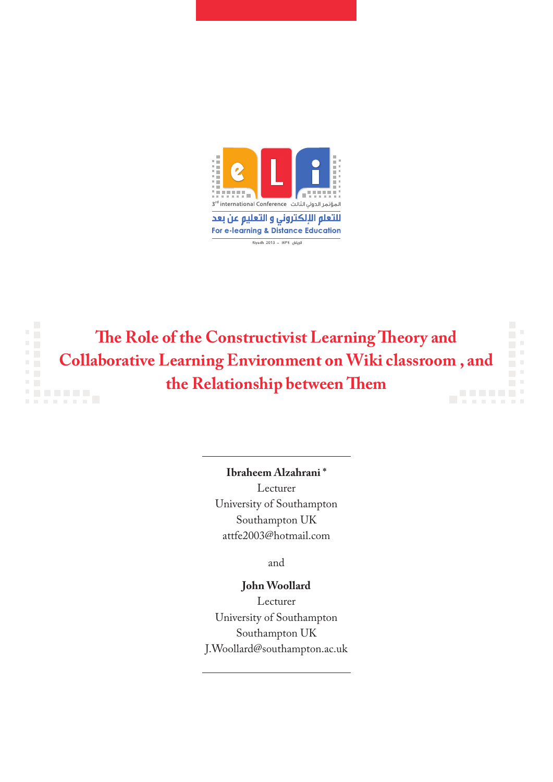



**Ibraheem Alzahrani \*** Lecturer University of Southampton Southampton UK attfe2003@hotmail.com

and

### **John Woollard**

Lecturer University of Southampton Southampton UK J.Woollard@southampton.ac.uk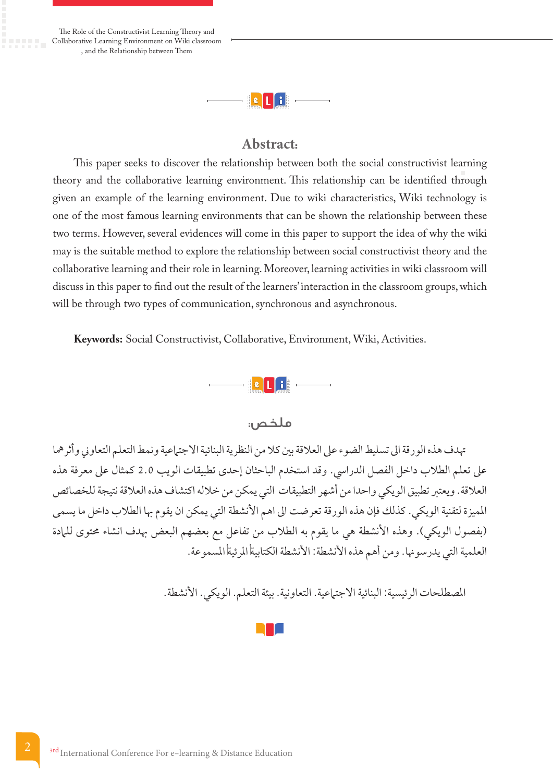The Role of the Constructivist Learning Theory and Collaborative Learning Environment on Wiki classroom , and the Relationship between Them



## **Abstract:**

This paper seeks to discover the relationship between both the social constructivist learning theory and the collaborative learning environment. This relationship can be identified through given an example of the learning environment. Due to wiki characteristics, Wiki technology is one of the most famous learning environments that can be shown the relationship between these two terms. However, several evidences will come in this paper to support the idea of why the wiki may is the suitable method to explore the relationship between social constructivist theory and the collaborative learning and their role in learning. Moreover, learning activities in wiki classroom will discuss in this paper to find out the result of the learners' interaction in the classroom groups, which will be through two types of communication, synchronous and asynchronous.

**Keywords:** Social Constructivist, Collaborative, Environment, Wiki, Activities.



# ملخص:

هتدف هذه الورقة اىل تسليط الضوء عىل العالقة بني كال من النظرية البنائية االجتامعية ونمط التعلم التعاوين وأثرمها عىل تعلم الطالب داخل الفصل الدرايس. وقد استخدم الباحثان إحدى تطبيقات الويب 2.0 كمثال عىل معرفة هذه العالقة. ويعترب تطبيق الويكي واحدا من أشهر التطبيقات التي يمكن من خالله اكتشاف هذه العالقة نتيجة للخصائص المميزة لتقنية الويكي. كذلك فإن هذه الورقة تعرضت الى اهم الأنشطة التي يمكن ان يقوم بها الطلاب داخل ما يسمى (بفصول الويكي). وهذه الأنشطة هي ما يقوم به الطلاب من تفاعل مع بعضهم البعض بهدف انشاء محتوى للمادة العلمية التي يدرسونها. ومن أهم هذه الأنشطة: الأنشطة الكتابيةأالمرئيةأالمسموعة.

المصطلحات الرئيسية: البنائية الاجتراعية. التعاونية. بيئة التعلم. الويكي. الأنشطة.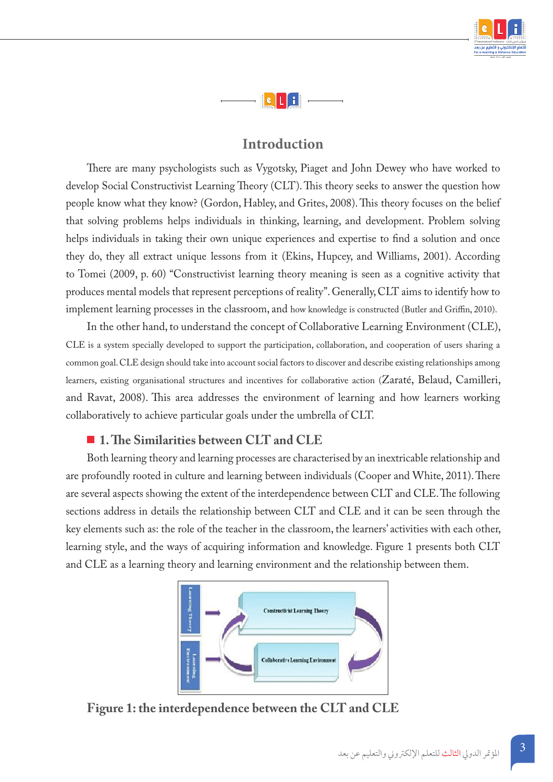



# **Introduction**

There are many psychologists such as Vygotsky, Piaget and John Dewey who have worked to develop Social Constructivist Learning Theory (CLT). This theory seeks to answer the question how people know what they know? (Gordon, Habley, and Grites, 2008). This theory focuses on the belief that solving problems helps individuals in thinking, learning, and development. Problem solving helps individuals in taking their own unique experiences and expertise to find a solution and once they do, they all extract unique lessons from it (Ekins, Hupcey, and Williams, 2001). According to Tomei (2009, p. 60) "Constructivist learning theory meaning is seen as a cognitive activity that produces mental models that represent perceptions of reality". Generally, CLT aims to identify how to implement learning processes in the classroom, and how knowledge is constructed (Butler and Griffin, 2010).

In the other hand, to understand the concept of Collaborative Learning Environment (CLE), CLE is a system specially developed to support the participation, collaboration, and cooperation of users sharing a common goal. CLE design should take into account social factors to discover and describe existing relationships among learners, existing organisational structures and incentives for collaborative action (Zaraté, Belaud, Camilleri, and Ravat, 2008). This area addresses the environment of learning and how learners working collaboratively to achieve particular goals under the umbrella of CLT.

# **1. The Similarities between CLT and CLE**

Both learning theory and learning processes are characterised by an inextricable relationship and are profoundly rooted in culture and learning between individuals (Cooper and White, 2011). There are several aspects showing the extent of the interdependence between CLT and CLE. The following sections address in details the relationship between CLT and CLE and it can be seen through the key elements such as: the role of the teacher in the classroom, the learners' activities with each other, learning style, and the ways of acquiring information and knowledge. Figure 1 presents both CLT and CLE as a learning theory and learning environment and the relationship between them.



**Figure 1: the interdependence between the CLT and CLE**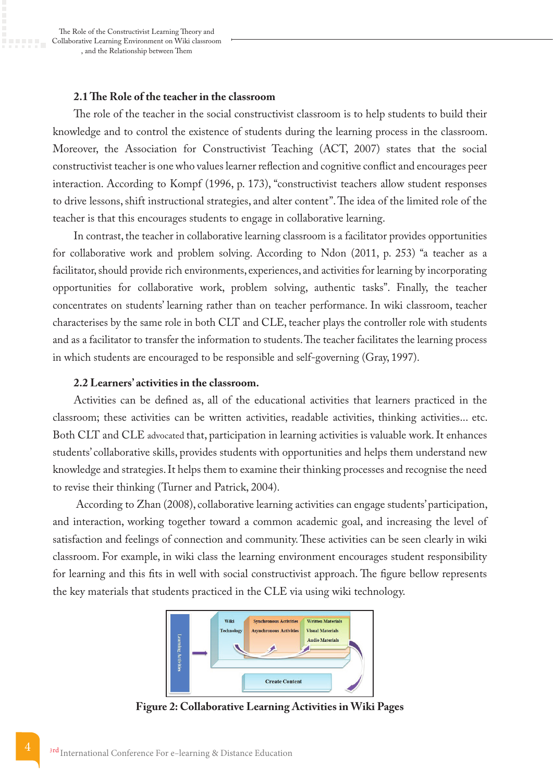#### **2.1 The Role of the teacher in the classroom**

The role of the teacher in the social constructivist classroom is to help students to build their knowledge and to control the existence of students during the learning process in the classroom. Moreover, the Association for Constructivist Teaching (ACT, 2007) states that the social constructivist teacher is one who values learner reflection and cognitive conflict and encourages peer interaction. According to Kompf (1996, p. 173), "constructivist teachers allow student responses to drive lessons, shift instructional strategies, and alter content". The idea of the limited role of the teacher is that this encourages students to engage in collaborative learning.

In contrast, the teacher in collaborative learning classroom is a facilitator provides opportunities for collaborative work and problem solving. According to Ndon (2011, p. 253) "a teacher as a facilitator, should provide rich environments, experiences, and activities for learning by incorporating opportunities for collaborative work, problem solving, authentic tasks". Finally, the teacher concentrates on students' learning rather than on teacher performance. In wiki classroom, teacher characterises by the same role in both CLT and CLE, teacher plays the controller role with students and as a facilitator to transfer the information to students. The teacher facilitates the learning process in which students are encouraged to be responsible and self-governing (Gray, 1997).

#### **2.2 Learners' activities in the classroom.**

Activities can be defined as, all of the educational activities that learners practiced in the classroom; these activities can be written activities, readable activities, thinking activities... etc. Both CLT and CLE advocated that, participation in learning activities is valuable work. It enhances students' collaborative skills, provides students with opportunities and helps them understand new knowledge and strategies. It helps them to examine their thinking processes and recognise the need to revise their thinking (Turner and Patrick, 2004).

 According to Zhan (2008), collaborative learning activities can engage students' participation, and interaction, working together toward a common academic goal, and increasing the level of satisfaction and feelings of connection and community. These activities can be seen clearly in wiki classroom. For example, in wiki class the learning environment encourages student responsibility for learning and this fits in well with social constructivist approach. The figure bellow represents the key materials that students practiced in the CLE via using wiki technology.



**Figure 2: Collaborative Learning Activities in Wiki Pages**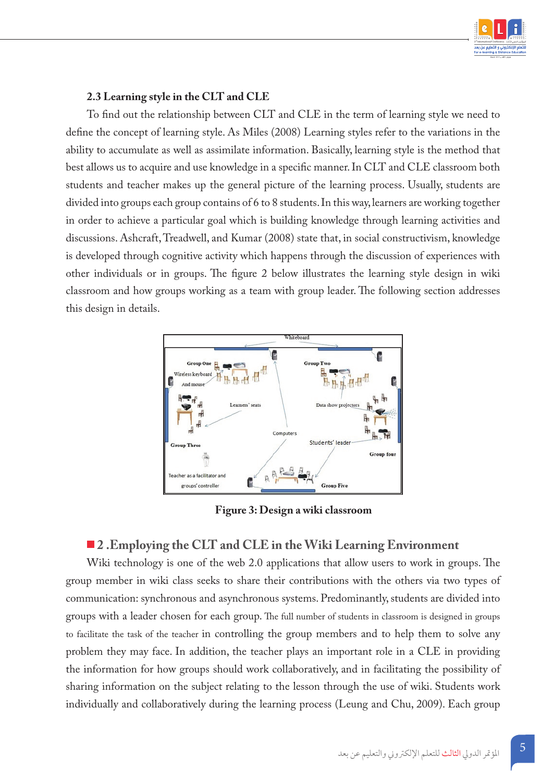

#### **2.3 Learning style in the CLT and CLE**

To find out the relationship between CLT and CLE in the term of learning style we need to define the concept of learning style. As Miles (2008) Learning styles refer to the variations in the ability to accumulate as well as assimilate information. Basically, learning style is the method that best allows us to acquire and use knowledge in a specific manner. In CLT and CLE classroom both students and teacher makes up the general picture of the learning process. Usually, students are divided into groups each group contains of 6 to 8 students. In this way, learners are working together in order to achieve a particular goal which is building knowledge through learning activities and discussions. Ashcraft, Treadwell, and Kumar (2008) state that, in social constructivism, knowledge is developed through cognitive activity which happens through the discussion of experiences with other individuals or in groups. The figure 2 below illustrates the learning style design in wiki classroom and how groups working as a team with group leader. The following section addresses this design in details.



**Figure 3: Design a wiki classroom**

#### **2 .Employing the CLT and CLE in the Wiki Learning Environment**

Wiki technology is one of the web 2.0 applications that allow users to work in groups. The group member in wiki class seeks to share their contributions with the others via two types of communication: synchronous and asynchronous systems. Predominantly, students are divided into groups with a leader chosen for each group. The full number of students in classroom is designed in groups to facilitate the task of the teacher in controlling the group members and to help them to solve any problem they may face. In addition, the teacher plays an important role in a CLE in providing the information for how groups should work collaboratively, and in facilitating the possibility of sharing information on the subject relating to the lesson through the use of wiki. Students work individually and collaboratively during the learning process (Leung and Chu, 2009). Each group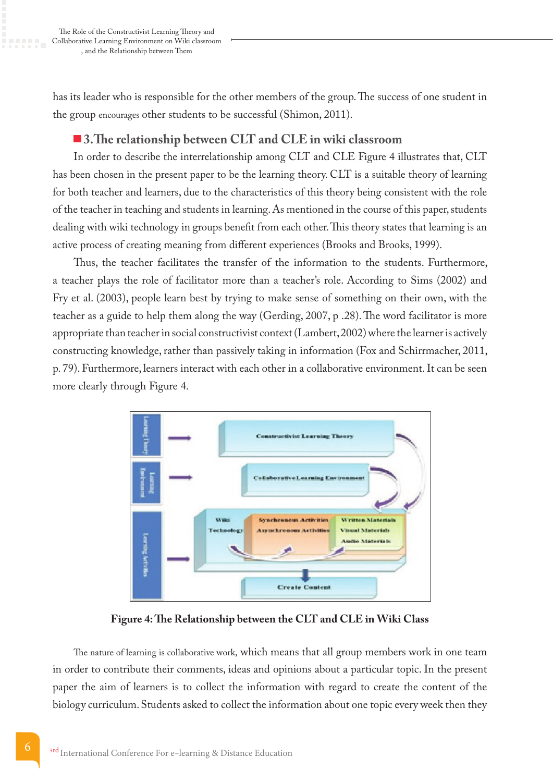has its leader who is responsible for the other members of the group. The success of one student in the group encourages other students to be successful (Shimon, 2011).

# **3.The relationship between CLT and CLE in wiki classroom**

In order to describe the interrelationship among CLT and CLE Figure 4 illustrates that, CLT has been chosen in the present paper to be the learning theory. CLT is a suitable theory of learning for both teacher and learners, due to the characteristics of this theory being consistent with the role of the teacher in teaching and students in learning. As mentioned in the course of this paper, students dealing with wiki technology in groups benefit from each other. This theory states that learning is an active process of creating meaning from different experiences (Brooks and Brooks, 1999).

Thus, the teacher facilitates the transfer of the information to the students. Furthermore, a teacher plays the role of facilitator more than a teacher's role. According to Sims (2002) and Fry et al. (2003), people learn best by trying to make sense of something on their own, with the teacher as a guide to help them along the way (Gerding, 2007, p .28). The word facilitator is more appropriate than teacher in social constructivist context (Lambert, 2002) where the learner is actively constructing knowledge, rather than passively taking in information (Fox and Schirrmacher, 2011, p. 79). Furthermore, learners interact with each other in a collaborative environment. It can be seen more clearly through Figure 4.



**Figure 4: The Relationship between the CLT and CLE in Wiki Class**

The nature of learning is collaborative work, which means that all group members work in one team in order to contribute their comments, ideas and opinions about a particular topic. In the present paper the aim of learners is to collect the information with regard to create the content of the biology curriculum. Students asked to collect the information about one topic every week then they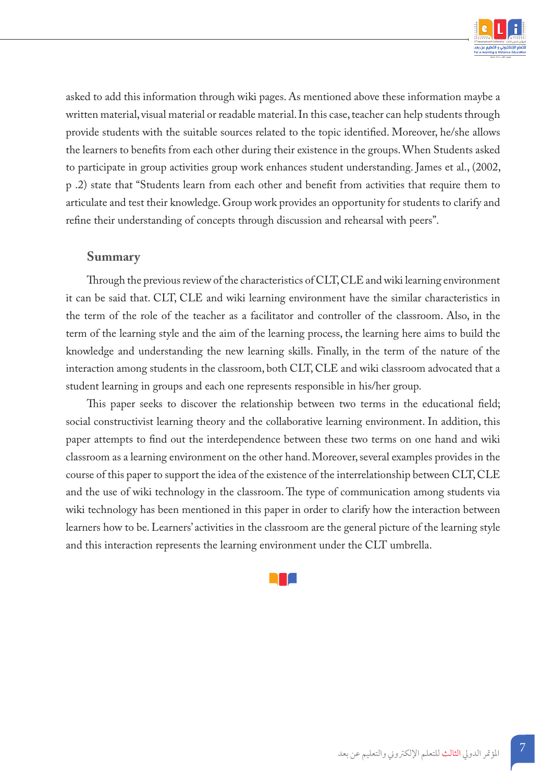

asked to add this information through wiki pages. As mentioned above these information maybe a written material, visual material or readable material. In this case, teacher can help students through provide students with the suitable sources related to the topic identified. Moreover, he/she allows the learners to benefits from each other during their existence in the groups. When Students asked to participate in group activities group work enhances student understanding. James et al., (2002, p .2) state that "Students learn from each other and benefit from activities that require them to articulate and test their knowledge. Group work provides an opportunity for students to clarify and refine their understanding of concepts through discussion and rehearsal with peers".

#### **Summary**

Through the previous review of the characteristics of CLT, CLE and wiki learning environment it can be said that. CLT, CLE and wiki learning environment have the similar characteristics in the term of the role of the teacher as a facilitator and controller of the classroom. Also, in the term of the learning style and the aim of the learning process, the learning here aims to build the knowledge and understanding the new learning skills. Finally, in the term of the nature of the interaction among students in the classroom, both CLT, CLE and wiki classroom advocated that a student learning in groups and each one represents responsible in his/her group.

This paper seeks to discover the relationship between two terms in the educational field; social constructivist learning theory and the collaborative learning environment. In addition, this paper attempts to find out the interdependence between these two terms on one hand and wiki classroom as a learning environment on the other hand. Moreover, several examples provides in the course of this paper to support the idea of the existence of the interrelationship between CLT, CLE and the use of wiki technology in the classroom. The type of communication among students via wiki technology has been mentioned in this paper in order to clarify how the interaction between learners how to be. Learners' activities in the classroom are the general picture of the learning style and this interaction represents the learning environment under the CLT umbrella.

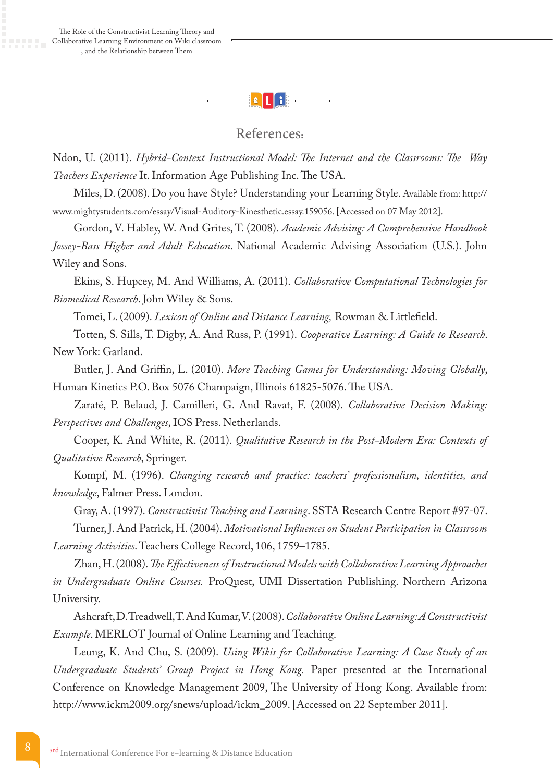

## References:

Ndon, U. (2011). *Hybrid-Context Instructional Model: The Internet and the Classrooms: The Way Teachers Experience* It. Information Age Publishing Inc. The USA.

Miles, D. (2008). Do you have Style? Understanding your Learning Style. Available from: http:// www.mightystudents.com/essay/Visual-Auditory-Kinesthetic.essay.159056. [Accessed on 07 May 2012].

Gordon, V. Habley, W. And Grites, T. (2008). *Academic Advising: A Comprehensive Handbook Jossey-Bass Higher and Adult Education*. National Academic Advising Association (U.S.). John Wiley and Sons.

Ekins, S. Hupcey, M. And Williams, A. (2011). *Collaborative Computational Technologies for Biomedical Research*. John Wiley & Sons.

Tomei, L. (2009). *Lexicon of Online and Distance Learning,* Rowman & Littlefield.

Totten, S. Sills, T. Digby, A. And Russ, P. (1991). *Cooperative Learning: A Guide to Research*. New York: Garland.

Butler, J. And Griffin, L. (2010). *More Teaching Games for Understanding: Moving Globally*, Human Kinetics P.O. Box 5076 Champaign, Illinois 61825-5076. The USA.

Zaraté, P. Belaud, J. Camilleri, G. And Ravat, F. (2008). *Collaborative Decision Making: Perspectives and Challenges*, IOS Press. Netherlands.

Cooper, K. And White, R. (2011). *Qualitative Research in the Post-Modern Era: Contexts of Qualitative Research*, Springer.

Kompf, M. (1996). *Changing research and practice: teachers' professionalism, identities, and knowledge*, Falmer Press. London.

Gray, A. (1997). *Constructivist Teaching and Learning*. SSTA Research Centre Report #97-07. Turner, J. And Patrick, H. (2004). *Motivational Influences on Student Participation in Classroom Learning Activities*. Teachers College Record, 106, 1759–1785.

Zhan, H. (2008). *The Effectiveness of Instructional Models with Collaborative Learning Approaches in Undergraduate Online Courses.* ProQuest, UMI Dissertation Publishing. Northern Arizona University.

Ashcraft, D. Treadwell, T. And Kumar, V. (2008). *Collaborative Online Learning: A Constructivist Example*. MERLOT Journal of Online Learning and Teaching.

Leung, K. And Chu, S. (2009). *Using Wikis for Collaborative Learning: A Case Study of an Undergraduate Students' Group Project in Hong Kong.* Paper presented at the International Conference on Knowledge Management 2009, The University of Hong Kong. Available from: http://www.ickm2009.org/snews/upload/ickm\_2009. [Accessed on 22 September 2011].